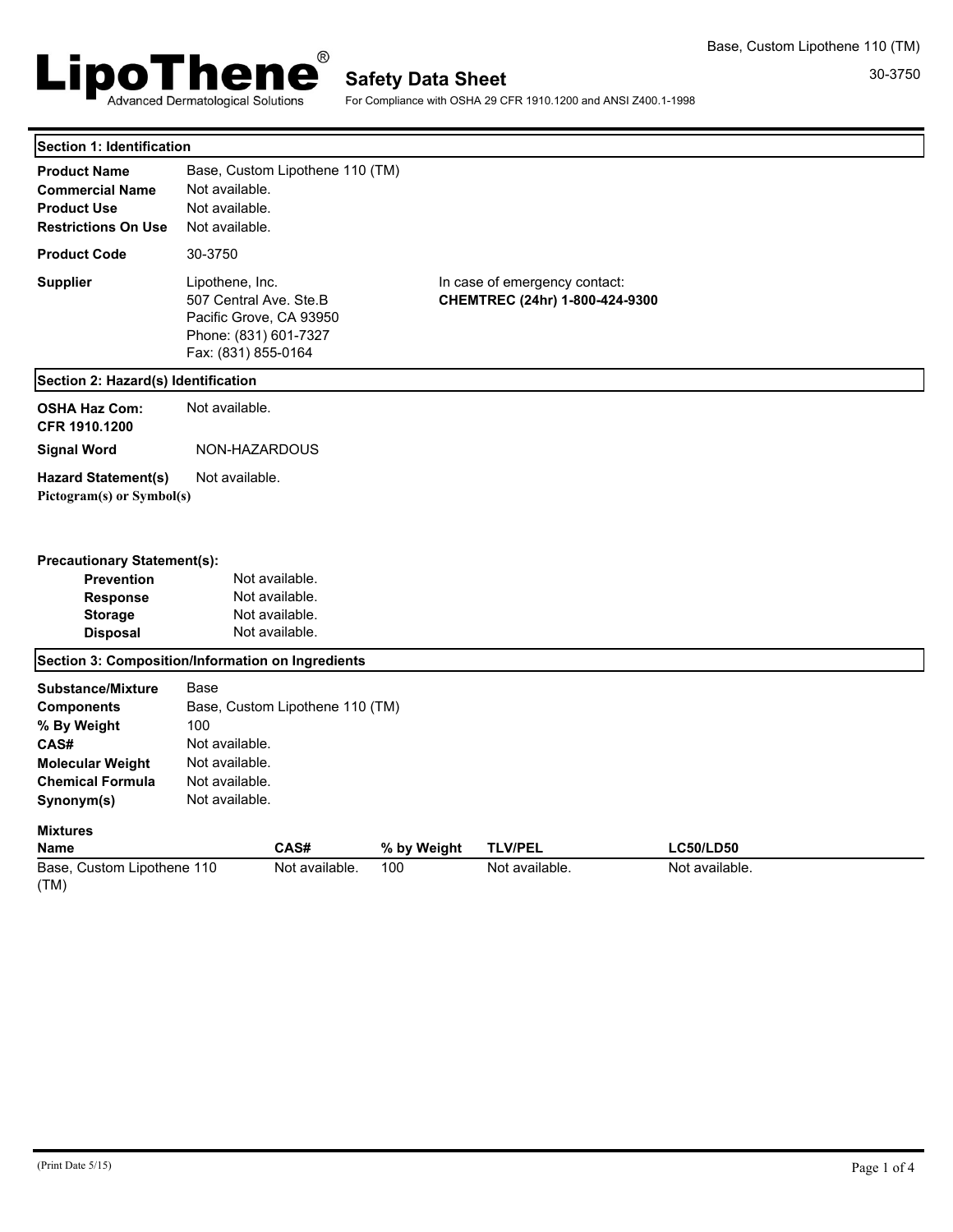

For Compliance with OSHA 29 CFR 1910.1200 and ANSI Z400.1-1998

| Section 1: Identification                                                                                                                                   |                                                                                                                      |                                                                      |             |                                                                 |                  |  |
|-------------------------------------------------------------------------------------------------------------------------------------------------------------|----------------------------------------------------------------------------------------------------------------------|----------------------------------------------------------------------|-------------|-----------------------------------------------------------------|------------------|--|
| <b>Product Name</b><br><b>Commercial Name</b><br><b>Product Use</b><br><b>Restrictions On Use</b>                                                           | Not available.<br>Not available.<br>Not available.                                                                   | Base, Custom Lipothene 110 (TM)                                      |             |                                                                 |                  |  |
| <b>Product Code</b>                                                                                                                                         | 30-3750                                                                                                              |                                                                      |             |                                                                 |                  |  |
| <b>Supplier</b>                                                                                                                                             | Lipothene, Inc.<br>507 Central Ave. Ste.B<br>Pacific Grove, CA 93950<br>Phone: (831) 601-7327<br>Fax: (831) 855-0164 |                                                                      |             | In case of emergency contact:<br>CHEMTREC (24hr) 1-800-424-9300 |                  |  |
| Section 2: Hazard(s) Identification                                                                                                                         |                                                                                                                      |                                                                      |             |                                                                 |                  |  |
| <b>OSHA Haz Com:</b><br>CFR 1910.1200                                                                                                                       | Not available.                                                                                                       |                                                                      |             |                                                                 |                  |  |
| <b>Signal Word</b>                                                                                                                                          | NON-HAZARDOUS                                                                                                        |                                                                      |             |                                                                 |                  |  |
| <b>Hazard Statement(s)</b><br>Pictogram(s) or Symbol(s)                                                                                                     | Not available.                                                                                                       |                                                                      |             |                                                                 |                  |  |
| <b>Precautionary Statement(s):</b><br><b>Prevention</b><br>Response<br><b>Storage</b><br><b>Disposal</b>                                                    |                                                                                                                      | Not available.<br>Not available.<br>Not available.<br>Not available. |             |                                                                 |                  |  |
| Section 3: Composition/Information on Ingredients                                                                                                           |                                                                                                                      |                                                                      |             |                                                                 |                  |  |
| <b>Substance/Mixture</b><br><b>Components</b><br>% By Weight<br>CAS#<br><b>Molecular Weight</b><br><b>Chemical Formula</b><br>Synonym(s)<br><b>Mixtures</b> | Base<br>100<br>Not available.<br>Not available.<br>Not available.<br>Not available.                                  | Base, Custom Lipothene 110 (TM)                                      |             |                                                                 |                  |  |
| <b>Name</b>                                                                                                                                                 |                                                                                                                      | CAS#                                                                 | % by Weight | <b>TLV/PEL</b>                                                  | <b>LC50/LD50</b> |  |
| Base, Custom Lipothene 110<br>(TM)                                                                                                                          |                                                                                                                      | Not available.                                                       | 100         | Not available.                                                  | Not available.   |  |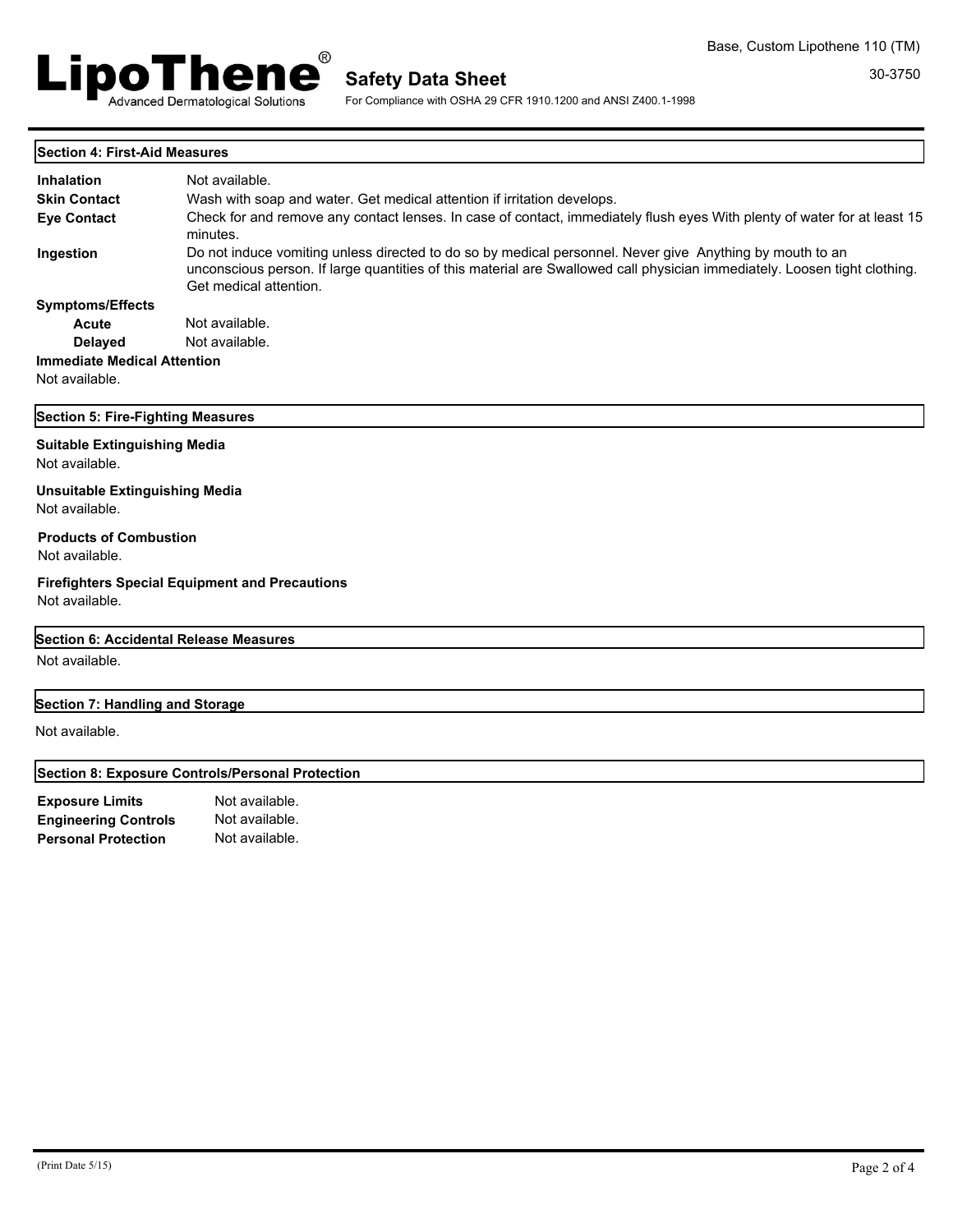

For Compliance with OSHA 29 CFR 1910.1200 and ANSI Z400.1-1998

|  | Section 4: First-Aid Measures |
|--|-------------------------------|
|  |                               |

| <b>Inhalation</b>                                       | Not available.                                                                                                                                                                                                                                                  |  |  |  |  |
|---------------------------------------------------------|-----------------------------------------------------------------------------------------------------------------------------------------------------------------------------------------------------------------------------------------------------------------|--|--|--|--|
| <b>Skin Contact</b>                                     | Wash with soap and water. Get medical attention if irritation develops.                                                                                                                                                                                         |  |  |  |  |
| <b>Eve Contact</b>                                      | Check for and remove any contact lenses. In case of contact, immediately flush eyes With plenty of water for at least 15<br>minutes.                                                                                                                            |  |  |  |  |
| Ingestion                                               | Do not induce vomiting unless directed to do so by medical personnel. Never give Anything by mouth to an<br>unconscious person. If large quantities of this material are Swallowed call physician immediately. Loosen tight clothing.<br>Get medical attention. |  |  |  |  |
| <b>Symptoms/Effects</b>                                 |                                                                                                                                                                                                                                                                 |  |  |  |  |
| Acute                                                   | Not available.                                                                                                                                                                                                                                                  |  |  |  |  |
| <b>Delayed</b>                                          | Not available.                                                                                                                                                                                                                                                  |  |  |  |  |
| <b>Immediate Medical Attention</b>                      |                                                                                                                                                                                                                                                                 |  |  |  |  |
| Not available.                                          |                                                                                                                                                                                                                                                                 |  |  |  |  |
| Section 5: Fire-Fighting Measures                       |                                                                                                                                                                                                                                                                 |  |  |  |  |
| <b>Suitable Extinguishing Media</b><br>Not available.   |                                                                                                                                                                                                                                                                 |  |  |  |  |
| <b>Unsuitable Extinguishing Media</b><br>Not available. |                                                                                                                                                                                                                                                                 |  |  |  |  |
| <b>Products of Combustion</b><br>Not available.         |                                                                                                                                                                                                                                                                 |  |  |  |  |
| Not available.                                          | <b>Firefighters Special Equipment and Precautions</b>                                                                                                                                                                                                           |  |  |  |  |
| Section 6: Accidental Release Measures                  |                                                                                                                                                                                                                                                                 |  |  |  |  |
| Not available.                                          |                                                                                                                                                                                                                                                                 |  |  |  |  |

# **Section 7: Handling and Storage**

Not available.

# **Section 8: Exposure Controls/Personal Protection**

| <b>Exposure Limits</b>      | Not available. |
|-----------------------------|----------------|
| <b>Engineering Controls</b> | Not available. |
| <b>Personal Protection</b>  | Not available. |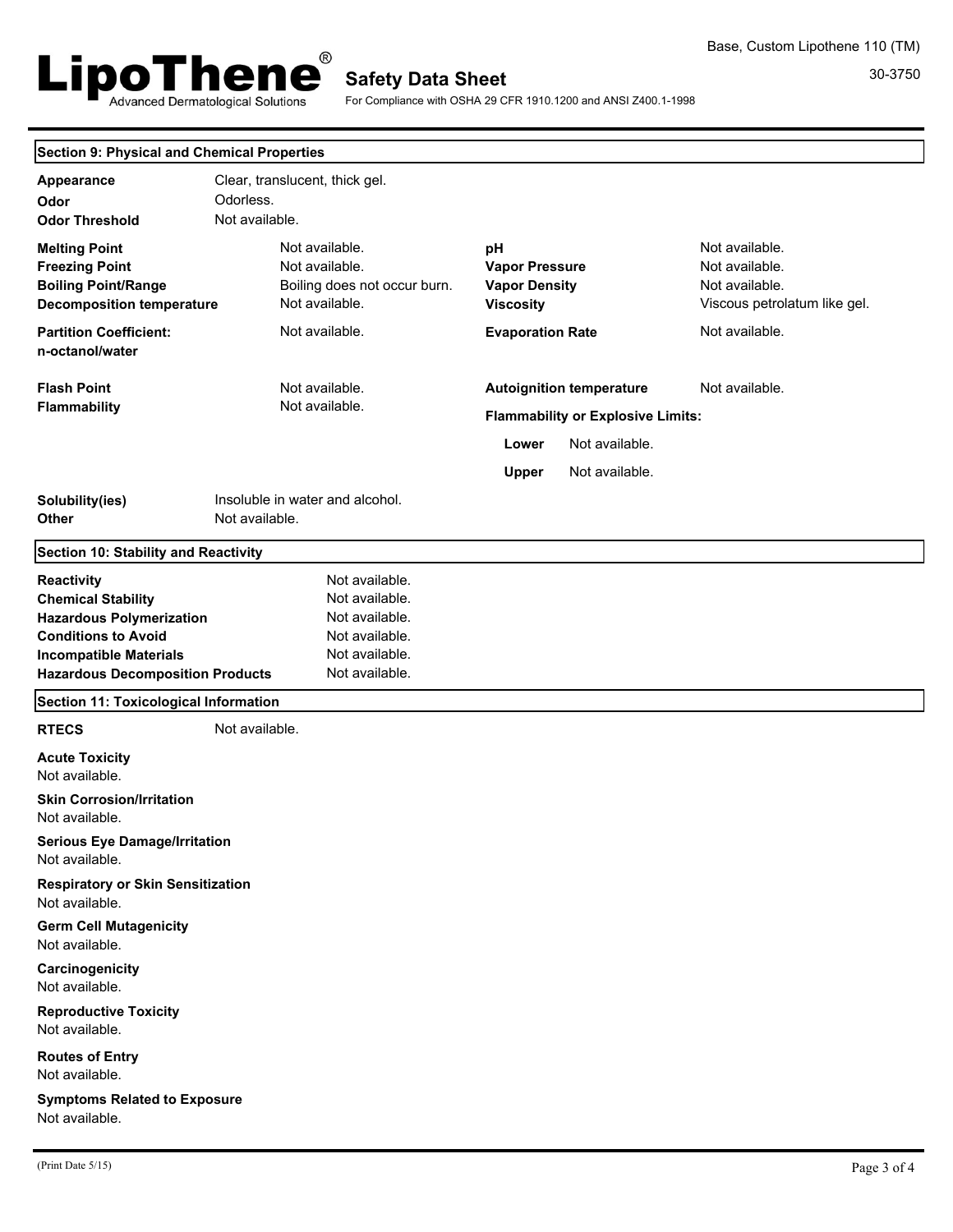

30-3750 Base, Custom Lipothene 110 (TM)

For Compliance with OSHA 29 CFR 1910.1200 and ANSI Z400.1-1998

|  |  | <b>Section 9: Physical and Chemical Properties</b> |  |
|--|--|----------------------------------------------------|--|
|  |  |                                                    |  |

| Appearance<br>Odor<br><b>Odor Threshold</b>                                                                                                                                                 | Odorless.<br>Not available. | Clear, translucent, thick gel.                                                                           |                                                                         |                                                                                                                 |                                                                                    |
|---------------------------------------------------------------------------------------------------------------------------------------------------------------------------------------------|-----------------------------|----------------------------------------------------------------------------------------------------------|-------------------------------------------------------------------------|-----------------------------------------------------------------------------------------------------------------|------------------------------------------------------------------------------------|
| <b>Melting Point</b><br><b>Freezing Point</b><br><b>Boiling Point/Range</b><br><b>Decomposition temperature</b>                                                                             |                             | Not available.<br>Not available.<br>Boiling does not occur burn.<br>Not available.                       | pH<br><b>Vapor Pressure</b><br><b>Vapor Density</b><br><b>Viscosity</b> |                                                                                                                 | Not available.<br>Not available.<br>Not available.<br>Viscous petrolatum like gel. |
| <b>Partition Coefficient:</b><br>n-octanol/water                                                                                                                                            |                             | Not available.                                                                                           | <b>Evaporation Rate</b>                                                 |                                                                                                                 | Not available.                                                                     |
| <b>Flash Point</b><br><b>Flammability</b>                                                                                                                                                   |                             | Not available.<br>Not available.                                                                         | Lower<br><b>Upper</b>                                                   | <b>Autoignition temperature</b><br><b>Flammability or Explosive Limits:</b><br>Not available.<br>Not available. | Not available.                                                                     |
| Solubility(ies)<br>Other                                                                                                                                                                    | Not available.              | Insoluble in water and alcohol.                                                                          |                                                                         |                                                                                                                 |                                                                                    |
| Section 10: Stability and Reactivity                                                                                                                                                        |                             |                                                                                                          |                                                                         |                                                                                                                 |                                                                                    |
| <b>Reactivity</b><br><b>Chemical Stability</b><br><b>Hazardous Polymerization</b><br><b>Conditions to Avoid</b><br><b>Incompatible Materials</b><br><b>Hazardous Decomposition Products</b> |                             | Not available.<br>Not available.<br>Not available.<br>Not available.<br>Not available.<br>Not available. |                                                                         |                                                                                                                 |                                                                                    |
| Section 11: Toxicological Information                                                                                                                                                       |                             |                                                                                                          |                                                                         |                                                                                                                 |                                                                                    |
| <b>RTECS</b>                                                                                                                                                                                | Not available.              |                                                                                                          |                                                                         |                                                                                                                 |                                                                                    |
| <b>Acute Toxicity</b><br>Not available.                                                                                                                                                     |                             |                                                                                                          |                                                                         |                                                                                                                 |                                                                                    |
| <b>Skin Corrosion/Irritation</b><br>Not available.                                                                                                                                          |                             |                                                                                                          |                                                                         |                                                                                                                 |                                                                                    |
| <b>Serious Eye Damage/Irritation</b><br>Not available.                                                                                                                                      |                             |                                                                                                          |                                                                         |                                                                                                                 |                                                                                    |
| <b>Respiratory or Skin Sensitization</b><br>Not available.                                                                                                                                  |                             |                                                                                                          |                                                                         |                                                                                                                 |                                                                                    |
| <b>Germ Cell Mutagenicity</b><br>Not available.                                                                                                                                             |                             |                                                                                                          |                                                                         |                                                                                                                 |                                                                                    |
| Carcinogenicity<br>Not available.                                                                                                                                                           |                             |                                                                                                          |                                                                         |                                                                                                                 |                                                                                    |
| <b>Reproductive Toxicity</b><br>Not available.                                                                                                                                              |                             |                                                                                                          |                                                                         |                                                                                                                 |                                                                                    |
| <b>Routes of Entry</b><br>Not available.                                                                                                                                                    |                             |                                                                                                          |                                                                         |                                                                                                                 |                                                                                    |
| <b>Symptoms Related to Exposure</b><br>Not available.                                                                                                                                       |                             |                                                                                                          |                                                                         |                                                                                                                 |                                                                                    |